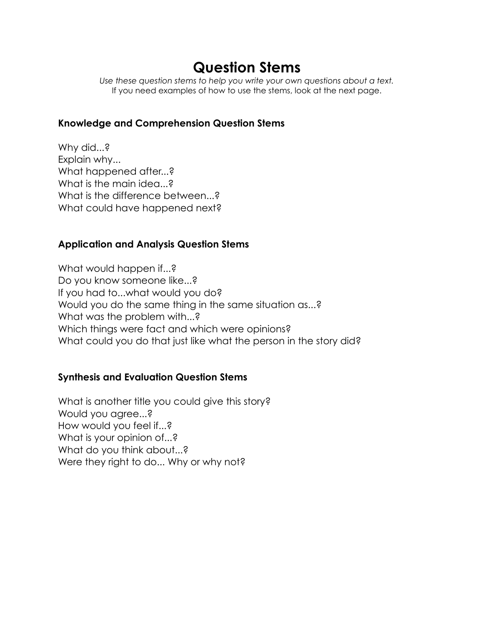# **Question Stems**

*Use these question stems to help you write your own questions about a text.* If you need examples of how to use the stems, look at the next page.

### **Knowledge and Comprehension Question Stems**

Why did...? Explain why... What happened after...? What is the main idea...? What is the difference between...? What could have happened next?

### **Application and Analysis Question Stems**

What would happen if...? Do you know someone like...? If you had to...what would you do? Would you do the same thing in the same situation as...? What was the problem with...? Which things were fact and which were opinions? What could you do that just like what the person in the story did?

# **Synthesis and Evaluation Question Stems**

What is another title you could give this story? Would you agree...? How would you feel if...? What is your opinion of...? What do you think about...? Were they right to do... Why or why not?